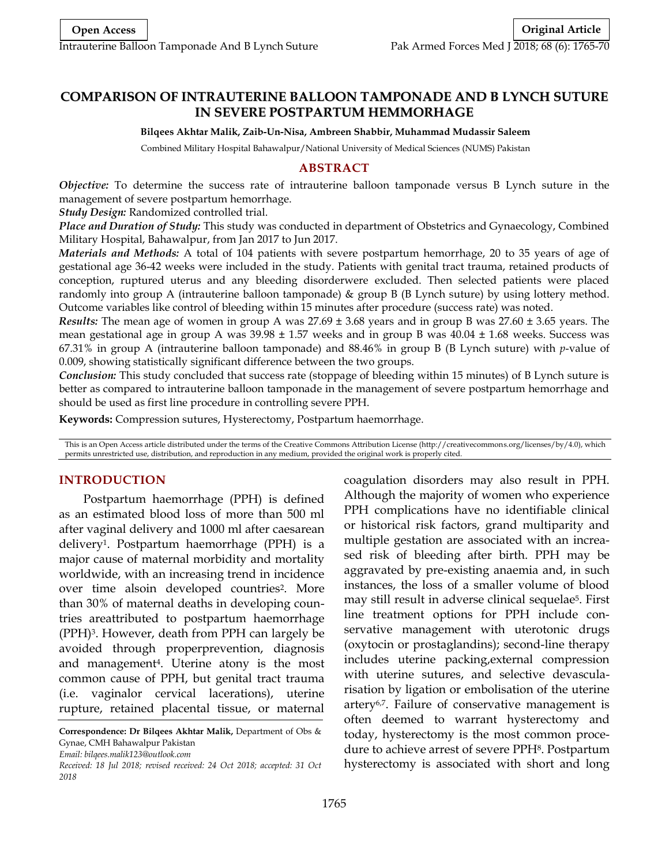# **COMPARISON OF INTRAUTERINE BALLOON TAMPONADE AND B LYNCH SUTURE IN SEVERE POSTPARTUM HEMMORHAGE**

#### **Bilqees Akhtar Malik, Zaib-Un-Nisa, Ambreen Shabbir, Muhammad Mudassir Saleem**

Combined Military Hospital Bahawalpur/National University of Medical Sciences (NUMS) Pakistan

### **ABSTRACT**

*Objective:* To determine the success rate of intrauterine balloon tamponade versus B Lynch suture in the management of severe postpartum hemorrhage.

*Study Design:* Randomized controlled trial.

*Place and Duration of Study:* This study was conducted in department of Obstetrics and Gynaecology, Combined Military Hospital, Bahawalpur, from Jan 2017 to Jun 2017.

*Materials and Methods:* A total of 104 patients with severe postpartum hemorrhage, 20 to 35 years of age of gestational age 36-42 weeks were included in the study. Patients with genital tract trauma, retained products of conception, ruptured uterus and any bleeding disorderwere excluded. Then selected patients were placed randomly into group A (intrauterine balloon tamponade) & group B (B Lynch suture) by using lottery method. Outcome variables like control of bleeding within 15 minutes after procedure (success rate) was noted.

*Results:* The mean age of women in group A was 27.69 ± 3.68 years and in group B was 27.60 ± 3.65 years. The mean gestational age in group A was  $39.98 \pm 1.57$  weeks and in group B was  $40.04 \pm 1.68$  weeks. Success was 67.31% in group A (intrauterine balloon tamponade) and 88.46% in group B (B Lynch suture) with *p*-value of 0.009, showing statistically significant difference between the two groups.

*Conclusion:* This study concluded that success rate (stoppage of bleeding within 15 minutes) of B Lynch suture is better as compared to intrauterine balloon tamponade in the management of severe postpartum hemorrhage and should be used as first line procedure in controlling severe PPH.

**Keywords:** Compression sutures, Hysterectomy, Postpartum haemorrhage.

This is an Open Access article distributed under the terms of the Creative Commons Attribution License (http://creativecommons.org/licenses/by/4.0), which permits unrestricted use, distribution, and reproduction in any medium, provided the original work is properly cited.

### **INTRODUCTION**

Postpartum haemorrhage (PPH) is defined as an estimated blood loss of more than 500 ml after vaginal delivery and 1000 ml after caesarean delivery1. Postpartum haemorrhage (PPH) is a major cause of maternal morbidity and mortality worldwide, with an increasing trend in incidence over time alsoin developed countries2. More than 30% of maternal deaths in developing countries areattributed to postpartum haemorrhage (PPH)3. However, death from PPH can largely be avoided through properprevention, diagnosis and management4. Uterine atony is the most common cause of PPH, but genital tract trauma (i.e. vaginalor cervical lacerations), uterine rupture, retained placental tissue, or maternal

*Email: bilqees.malik123@outlook.com*

coagulation disorders may also result in PPH. Although the majority of women who experience PPH complications have no identifiable clinical or historical risk factors, grand multiparity and multiple gestation are associated with an increased risk of bleeding after birth. PPH may be aggravated by pre-existing anaemia and, in such instances, the loss of a smaller volume of blood may still result in adverse clinical sequelae5. First line treatment options for PPH include conservative management with uterotonic drugs (oxytocin or prostaglandins); second-line therapy includes uterine packing,external compression with uterine sutures, and selective devascularisation by ligation or embolisation of the uterine artery6,7. Failure of conservative management is often deemed to warrant hysterectomy and today, hysterectomy is the most common procedure to achieve arrest of severe PPH8. Postpartum hysterectomy is associated with short and long

**Correspondence: Dr Bilqees Akhtar Malik,** Department of Obs & Gynae, CMH Bahawalpur Pakistan

*Received: 18 Jul 2018; revised received: 24 Oct 2018; accepted: 31 Oct 2018*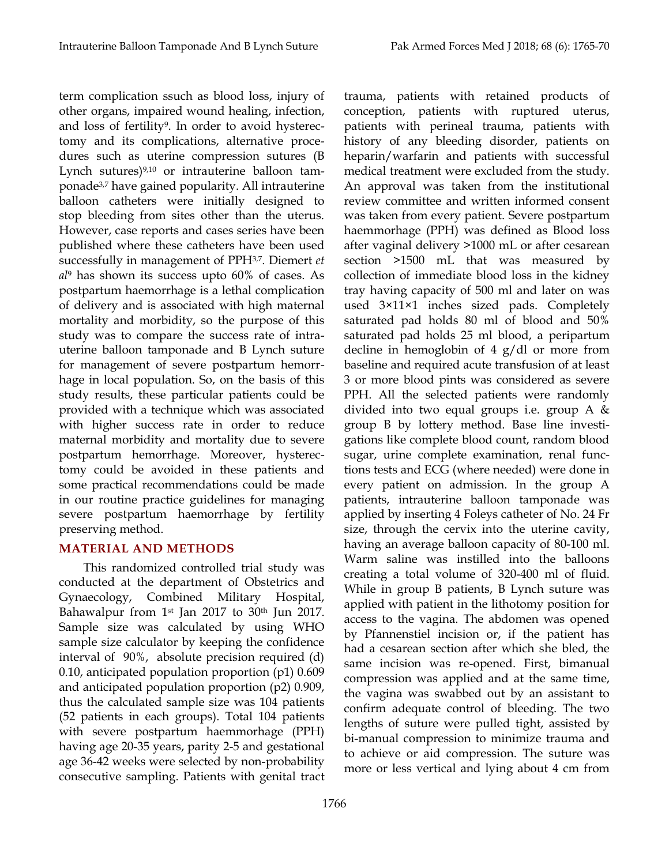term complication ssuch as blood loss, injury of other organs, impaired wound healing, infection, and loss of fertility9. In order to avoid hysterectomy and its complications, alternative procedures such as uterine compression sutures (B Lynch sutures)<sup>9,10</sup> or intrauterine balloon tamponade3,7 have gained popularity. All intrauterine balloon catheters were initially designed to stop bleeding from sites other than the uterus. However, case reports and cases series have been published where these catheters have been used successfully in management of PPH3,7. Diemert *et al*<sup>9</sup> has shown its success upto 60% of cases. As postpartum haemorrhage is a lethal complication of delivery and is associated with high maternal mortality and morbidity, so the purpose of this study was to compare the success rate of intrauterine balloon tamponade and B Lynch suture for management of severe postpartum hemorrhage in local population. So, on the basis of this study results, these particular patients could be provided with a technique which was associated with higher success rate in order to reduce maternal morbidity and mortality due to severe postpartum hemorrhage. Moreover, hysterectomy could be avoided in these patients and some practical recommendations could be made in our routine practice guidelines for managing severe postpartum haemorrhage by fertility preserving method.

## **MATERIAL AND METHODS**

This randomized controlled trial study was conducted at the department of Obstetrics and Gynaecology, Combined Military Hospital, Bahawalpur from 1st Jan 2017 to 30th Jun 2017. Sample size was calculated by using WHO sample size calculator by keeping the confidence interval of 90%, absolute precision required (d) 0.10, anticipated population proportion (p1) 0.609 and anticipated population proportion (p2) 0.909, thus the calculated sample size was 104 patients (52 patients in each groups). Total 104 patients with severe postpartum haemmorhage (PPH) having age 20-35 years, parity 2-5 and gestational age 36-42 weeks were selected by non-probability consecutive sampling. Patients with genital tract trauma, patients with retained products of conception, patients with ruptured uterus, patients with perineal trauma, patients with history of any bleeding disorder, patients on heparin/warfarin and patients with successful medical treatment were excluded from the study. An approval was taken from the institutional review committee and written informed consent was taken from every patient. Severe postpartum haemmorhage (PPH) was defined as Blood loss after vaginal delivery >1000 mL or after cesarean section >1500 mL that was measured by collection of immediate blood loss in the kidney tray having capacity of 500 ml and later on was used 3×11×1 inches sized pads. Completely saturated pad holds 80 ml of blood and 50% saturated pad holds 25 ml blood, a peripartum decline in hemoglobin of 4 g/dl or more from baseline and required acute transfusion of at least 3 or more blood pints was considered as severe PPH. All the selected patients were randomly divided into two equal groups i.e. group A & group B by lottery method. Base line investigations like complete blood count, random blood sugar, urine complete examination, renal functions tests and ECG (where needed) were done in every patient on admission. In the group A patients, intrauterine balloon tamponade was applied by inserting 4 Foleys catheter of No. 24 Fr size, through the cervix into the uterine cavity, having an average balloon capacity of 80-100 ml. Warm saline was instilled into the balloons creating a total volume of 320-400 ml of fluid. While in group B patients, B Lynch suture was applied with patient in the lithotomy position for access to the vagina. The abdomen was opened by Pfannenstiel incision or, if the patient has had a cesarean section after which she bled, the same incision was re-opened. First, bimanual compression was applied and at the same time, the vagina was swabbed out by an assistant to confirm adequate control of bleeding. The two lengths of suture were pulled tight, assisted by bi-manual compression to minimize trauma and to achieve or aid compression. The suture was more or less vertical and lying about 4 cm from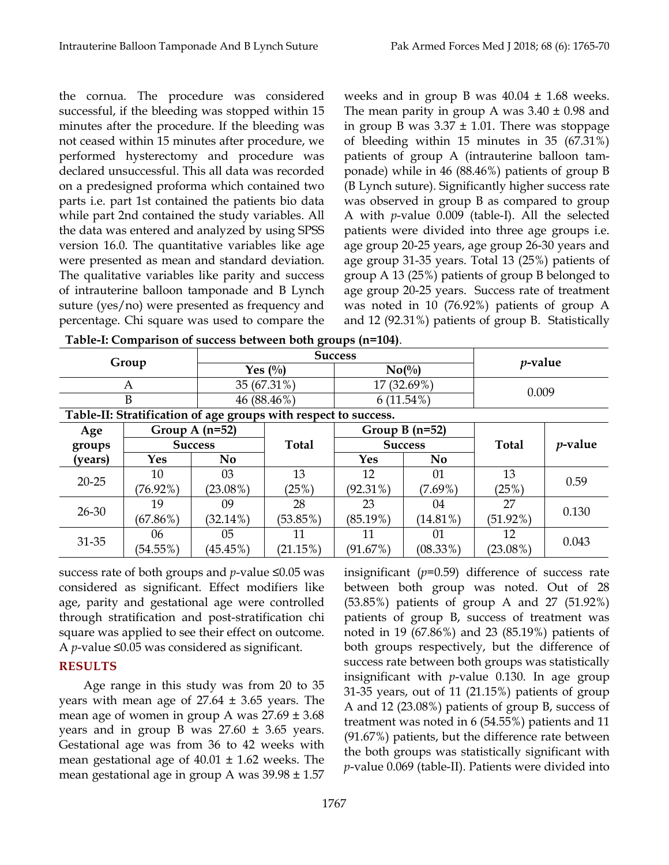the cornua. The procedure was considered successful, if the bleeding was stopped within 15 minutes after the procedure. If the bleeding was not ceased within 15 minutes after procedure, we performed hysterectomy and procedure was declared unsuccessful. This all data was recorded on a predesigned proforma which contained two parts i.e. part 1st contained the patients bio data while part 2nd contained the study variables. All the data was entered and analyzed by using SPSS version 16.0. The quantitative variables like age were presented as mean and standard deviation. The qualitative variables like parity and success of intrauterine balloon tamponade and B Lynch suture (yes/no) were presented as frequency and percentage. Chi square was used to compare the

weeks and in group B was  $40.04 \pm 1.68$  weeks. The mean parity in group A was  $3.40 \pm 0.98$  and in group B was  $3.37 \pm 1.01$ . There was stoppage of bleeding within 15 minutes in 35 (67.31%) patients of group A (intrauterine balloon tamponade) while in 46 (88.46%) patients of group B (B Lynch suture). Significantly higher success rate was observed in group B as compared to group A with *p*-value 0.009 (table-I). All the selected patients were divided into three age groups i.e. age group 20-25 years, age group 26-30 years and age group 31-35 years. Total 13 (25%) patients of group A 13 (25%) patients of group B belonged to age group 20-25 years. Success rate of treatment was noted in 10 (76.92%) patients of group A and 12 (92.31%) patients of group B. Statistically

|                                                                                                                                                                                                                                                                 |                                |                  | <b>Success</b>  | $p$ -value     |                  |             |                 |
|-----------------------------------------------------------------------------------------------------------------------------------------------------------------------------------------------------------------------------------------------------------------|--------------------------------|------------------|-----------------|----------------|------------------|-------------|-----------------|
| Table-I: Comparison of success between both groups (n=104).<br>Group<br>A<br>B<br>Table-II: Stratification of age groups with respect to success.<br>Age<br>groups<br>(years)<br><b>Yes</b><br>10<br>$20 - 25$<br>$(76.92\%)$<br>19<br>$26 - 30$<br>$(67.86\%)$ | Yes $\left(\frac{0}{0}\right)$ |                  | $No(^{0}/_{0})$ |                |                  |             |                 |
|                                                                                                                                                                                                                                                                 |                                | 35 (67.31%)      |                 | 17 (32.69%)    |                  | 0.009       |                 |
|                                                                                                                                                                                                                                                                 |                                | 46 (88.46%)      |                 | $6(11.54\%)$   |                  |             |                 |
|                                                                                                                                                                                                                                                                 |                                |                  |                 |                |                  |             |                 |
|                                                                                                                                                                                                                                                                 |                                | Group A $(n=52)$ |                 |                | Group B $(n=52)$ |             |                 |
|                                                                                                                                                                                                                                                                 | <b>Success</b>                 |                  | <b>Total</b>    | <b>Success</b> |                  | Total       | <i>p</i> -value |
|                                                                                                                                                                                                                                                                 |                                | N <sub>0</sub>   |                 | Yes            | N <sub>0</sub>   |             |                 |
|                                                                                                                                                                                                                                                                 |                                | 03               | 13              | 12             | 01               | 13          | 0.59            |
|                                                                                                                                                                                                                                                                 |                                | $(23.08\%)$      | (25%)           | $(92.31\%)$    | $(7.69\%)$       | (25%)       |                 |
|                                                                                                                                                                                                                                                                 |                                | 09               | 28              | 23             | 04               | 27          | 0.130           |
|                                                                                                                                                                                                                                                                 |                                | $(32.14\%)$      | (53.85%)        | $(85.19\%)$    | $(14.81\%)$      | $(51.92\%)$ |                 |
| 31-35                                                                                                                                                                                                                                                           | 06                             | 05               | 11              | 11             | 01               | 12          | 0.043           |
|                                                                                                                                                                                                                                                                 | $(54.55\%)$                    | $(45.45\%)$      | (21.15%)        | (91.67%)       | $(08.33\%)$      | $(23.08\%)$ |                 |

**Table-I: Comparison of success between both groups (n=104)**.

success rate of both groups and *p*-value ≤0.05 was considered as significant. Effect modifiers like age, parity and gestational age were controlled through stratification and post-stratification chi square was applied to see their effect on outcome. A *p*-value ≤0.05 was considered as significant.

# **RESULTS**

Age range in this study was from 20 to 35 years with mean age of 27.64 ± 3.65 years. The mean age of women in group A was  $27.69 \pm 3.68$ years and in group B was  $27.60 \pm 3.65$  years. Gestational age was from 36 to 42 weeks with mean gestational age of  $40.01 \pm 1.62$  weeks. The mean gestational age in group A was  $39.98 \pm 1.57$ 

insignificant (*p*=0.59) difference of success rate between both group was noted. Out of 28 (53.85%) patients of group A and 27 (51.92%) patients of group B, success of treatment was noted in 19 (67.86%) and 23 (85.19%) patients of both groups respectively, but the difference of success rate between both groups was statistically insignificant with *p*-value 0.130. In age group 31-35 years, out of 11 (21.15%) patients of group A and 12 (23.08%) patients of group B, success of treatment was noted in 6 (54.55%) patients and 11 (91.67%) patients, but the difference rate between the both groups was statistically significant with *p*-value 0.069 (table-II). Patients were divided into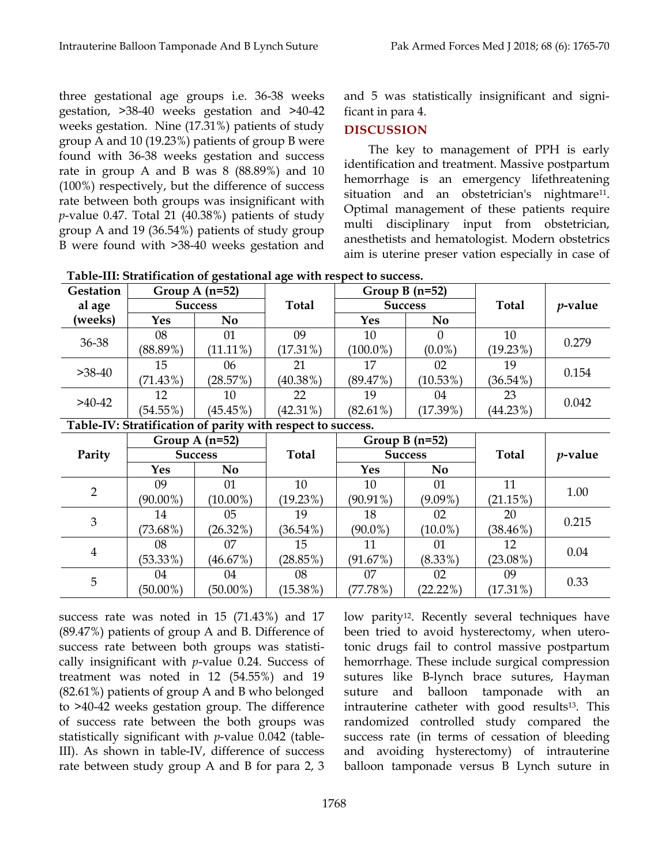three gestational age groups i.e. 36-38 weeks gestation, >38-40 weeks gestation and >40-42 weeks gestation. Nine (17.31%) patients of study group A and 10 (19.23%) patients of group B were found with 36-38 weeks gestation and success rate in group A and B was 8 (88.89%) and 10 (100%) respectively, but the difference of success rate between both groups was insignificant with *p*-value 0.47. Total 21 (40.38%) patients of study group A and 19 (36.54%) patients of study group B were found with >38-40 weeks gestation and and 5 was statistically insignificant and significant in para 4.

### **DISCUSSION**

The key to management of PPH is early identification and treatment. Massive postpartum hemorrhage is an emergency lifethreatening situation and an obstetrician's nightmare<sup>11</sup>. Optimal management of these patients require multi disciplinary input from obstetrician, anesthetists and hematologist. Modern obstetrics aim is uterine preser vation especially in case of

| Gestation      | Group A $(n=52)$ |                |                                                             | Group B $(n=52)$ |                | <b>Total</b> | $p$ -value |
|----------------|------------------|----------------|-------------------------------------------------------------|------------------|----------------|--------------|------------|
| al age         | <b>Success</b>   |                | <b>Total</b>                                                | <b>Success</b>   |                |              |            |
| (weeks)        | <b>Yes</b>       | N <sub>0</sub> |                                                             | <b>Yes</b>       | N <sub>0</sub> |              |            |
| 36-38          | 08               | 01             | 09                                                          | 10               | $\Omega$       | 10           | 0.279      |
|                | $(88.89\%)$      | $(11.11\%)$    | $(17.31\%)$                                                 | $(100.0\%)$      | $(0.0\%)$      | (19.23%)     |            |
| $>38-40$       | 15               | 06             | 21                                                          | 17               | 02             | 19           | 0.154      |
|                | $(71.43\%)$      | (28.57%)       | $(40.38\%)$                                                 | (89.47%)         | $(10.53\%)$    | $(36.54\%)$  |            |
| $>40-42$       | 12               | 10             | 22                                                          | 19               | 04             | 23           | 0.042      |
|                | (54.55%)         | (45.45%)       | $(42.31\%)$                                                 | $(82.61\%)$      | (17.39%)       | $(44.23\%)$  |            |
|                |                  |                | Table-IV: Stratification of parity with respect to success. |                  |                |              |            |
| Parity         | Group A $(n=52)$ |                | <b>Total</b>                                                | Group $B(n=52)$  |                | <b>Total</b> | $p$ -value |
|                | <b>Success</b>   |                |                                                             | <b>Success</b>   |                |              |            |
|                | <b>Yes</b>       | N <sub>0</sub> |                                                             | Yes              | <b>No</b>      |              |            |
| $\overline{2}$ | 09               | 01             | 10                                                          | 10               | 01             | 11           | 1.00       |
|                | $(90.00\%)$      | $(10.00\%)$    | (19.23%)                                                    | $(90.91\%)$      | $(9.09\%)$     | $(21.15\%)$  |            |
| 3              | 14               | 05             | 19                                                          | 18               | 02             | 20           | 0.215      |
|                | $(73.68\%)$      | $(26.32\%)$    | $(36.54\%)$                                                 | $(90.0\%)$       | $(10.0\%)$     | $(38.46\%)$  |            |
| $\overline{4}$ | 08               | 07             | 15                                                          | 11               | 01             | 12           | 0.04       |
|                | $(53.33\%)$      | (46.67%)       | (28.85%)                                                    | (91.67%)         | $(8.33\%)$     | $(23.08\%)$  |            |
| 5              | 04               | 04             | 08                                                          | 07               | 02             | 09           | 0.33       |
|                | $(50.00\%)$      | $(50.00\%)$    | $(15.38\%)$                                                 | (77.78%)         | (22.22%)       | $(17.31\%)$  |            |

success rate was noted in 15 (71.43%) and 17 (89.47%) patients of group A and B. Difference of success rate between both groups was statistically insignificant with *p*-value 0.24. Success of treatment was noted in 12 (54.55%) and 19 (82.61%) patients of group A and B who belonged to >40-42 weeks gestation group. The difference of success rate between the both groups was statistically significant with *p*-value 0.042 (table-III). As shown in table-IV, difference of success rate between study group A and B for para 2, 3

low parity<sup>12</sup>. Recently several techniques have been tried to avoid hysterectomy, when uterotonic drugs fail to control massive postpartum hemorrhage. These include surgical compression sutures like B-lynch brace sutures, Hayman suture and balloon tamponade with an intrauterine catheter with good results13. This randomized controlled study compared the success rate (in terms of cessation of bleeding and avoiding hysterectomy) of intrauterine balloon tamponade versus B Lynch suture in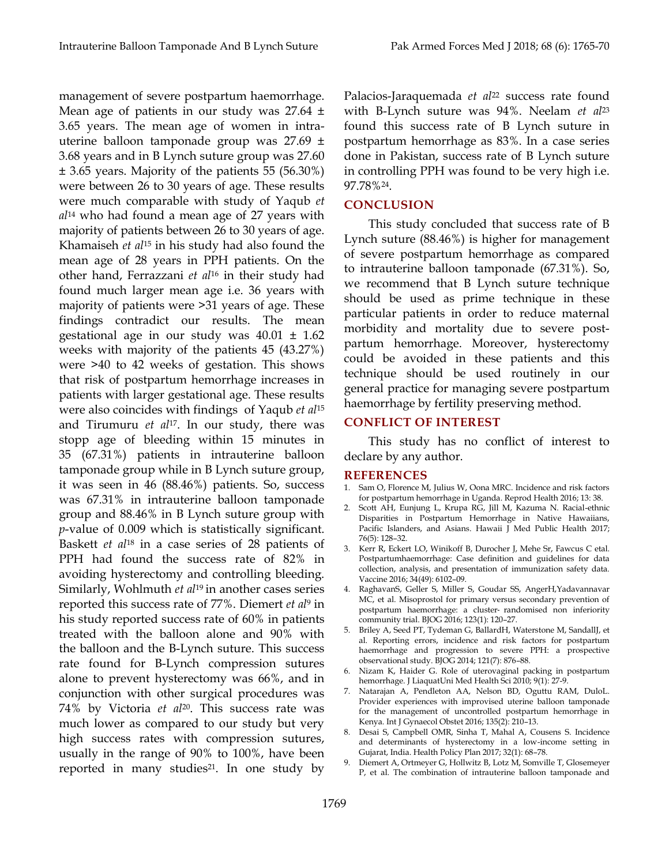management of severe postpartum haemorrhage. Mean age of patients in our study was 27.64 ± 3.65 years. The mean age of women in intrauterine balloon tamponade group was 27.69 ± 3.68 years and in B Lynch suture group was 27.60 ± 3.65 years. Majority of the patients 55 (56.30%) were between 26 to 30 years of age. These results were much comparable with study of Yaqub *et al*<sup>14</sup> who had found a mean age of 27 years with majority of patients between 26 to 30 years of age. Khamaiseh *et al*<sup>15</sup> in his study had also found the mean age of 28 years in PPH patients. On the other hand, Ferrazzani *et al*<sup>16</sup> in their study had found much larger mean age i.e. 36 years with majority of patients were >31 years of age. These findings contradict our results. The mean gestational age in our study was  $40.01 \pm 1.62$ weeks with majority of the patients 45 (43.27%) were >40 to 42 weeks of gestation. This shows that risk of postpartum hemorrhage increases in patients with larger gestational age. These results were also coincides with findings of Yaqub *et al*<sup>15</sup> and Tirumuru *et al*17. In our study, there was stopp age of bleeding within 15 minutes in 35 (67.31%) patients in intrauterine balloon tamponade group while in B Lynch suture group, it was seen in 46 (88.46%) patients. So, success was 67.31% in intrauterine balloon tamponade group and 88.46% in B Lynch suture group with *p*-value of 0.009 which is statistically significant. Baskett *et al*<sup>18</sup> in a case series of 28 patients of PPH had found the success rate of 82% in avoiding hysterectomy and controlling bleeding. Similarly, Wohlmuth *et al*<sup>19</sup> in another cases series reported this success rate of 77%. Diemert *et al*<sup>9</sup> in his study reported success rate of 60% in patients treated with the balloon alone and 90% with the balloon and the B-Lynch suture. This success rate found for B-Lynch compression sutures alone to prevent hysterectomy was 66%, and in conjunction with other surgical procedures was 74% by Victoria *et al*20. This success rate was much lower as compared to our study but very high success rates with compression sutures, usually in the range of 90% to 100%, have been reported in many studies<sup>21</sup>. In one study by

Palacios-Jaraquemada et al<sup>22</sup> success rate found with B-Lynch suture was 94%. Neelam *et al*<sup>23</sup> found this success rate of B Lynch suture in postpartum hemorrhage as 83%. In a case series done in Pakistan, success rate of B Lynch suture in controlling PPH was found to be very high i.e. 97.78%24.

### **CONCLUSION**

This study concluded that success rate of B Lynch suture (88.46%) is higher for management of severe postpartum hemorrhage as compared to intrauterine balloon tamponade (67.31%). So, we recommend that B Lynch suture technique should be used as prime technique in these particular patients in order to reduce maternal morbidity and mortality due to severe postpartum hemorrhage. Moreover, hysterectomy could be avoided in these patients and this technique should be used routinely in our general practice for managing severe postpartum haemorrhage by fertility preserving method.

### **CONFLICT OF INTEREST**

This study has no conflict of interest to declare by any author.

### **REFERENCES**

- 1. Sam O, Florence M, Julius W, Oona MRC. Incidence and risk factors for postpartum hemorrhage in Uganda. Reprod Health 2016; 13: 38.
- 2. Scott AH, Eunjung L, Krupa RG, Jill M, Kazuma N. Racial-ethnic Disparities in Postpartum Hemorrhage in Native Hawaiians, Pacific Islanders, and Asians. Hawaii J Med Public Health 2017; 76(5): 128–32.
- 3. Kerr R, Eckert LO, Winikoff B, Durocher J, Mehe Sr, Fawcus C etal. Postpartumhaemorrhage: Case definition and guidelines for data collection, analysis, and presentation of immunization safety data. Vaccine 2016; 34(49): 6102–09.
- 4. RaghavanS, Geller S, Miller S, Goudar SS, AngerH,Yadavannavar MC, et al. Misoprostol for primary versus secondary prevention of postpartum haemorrhage: a cluster‐ randomised non inferiority community trial. BJOG 2016; 123(1): 120–27.
- 5. Briley A, Seed PT, Tydeman G, BallardH, Waterstone M, SandallJ, et al. Reporting errors, incidence and risk factors for postpartum haemorrhage and progression to severe PPH: a prospective observational study. BJOG 2014; 121(7): 876–88.
- 6. Nizam K, Haider G. Role of uterovaginal packing in postpartum hemorrhage. J LiaquatUni Med Health Sci 2010; 9(1): 27-9.
- 7. Natarajan A, Pendleton AA, Nelson BD, Oguttu RAM, DuloL. Provider experiences with improvised uterine balloon tamponade for the management of uncontrolled postpartum hemorrhage in Kenya. Int J Gynaecol Obstet 2016; 135(2): 210–13.
- 8. Desai S, Campbell OMR, Sinha T, Mahal A, Cousens S. Incidence and determinants of hysterectomy in a low-income setting in Gujarat, India. Health Policy Plan 2017; 32(1): 68–78.
- 9. Diemert A, Ortmeyer G, Hollwitz B, Lotz M, Somville T, Glosemeyer P, et al. The combination of intrauterine balloon tamponade and